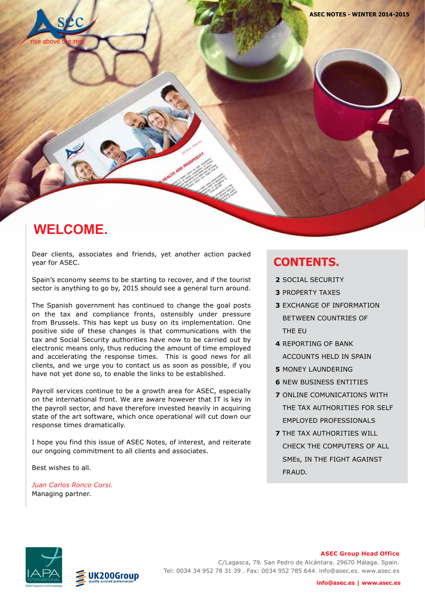

**Juan Carlos Ronco Corsi** Managing Partner jrc@asec.es - skype: juan.ronco  **www.asec.es**

### **WELCOME.**

Dear clients, associates and friends, yet another action packed year for ASEC.

Spain's economy seems to be starting to recover, and if the tourist sector is anything to go by, 2015 should see a general turn around.

The Spanish government has continued to change the goal posts on the tax and compliance fronts, ostensibly under pressure from Brussels. This has kept us busy on its implementation. One positive side of these changes is that communications with the tax and Social Security authorities have now to be carried out by electronic means only, thus reducing the amount of time employed and accelerating the response times. This is good news for all clients, and we urge you to contact us as soon as possible, if you have not yet done so, to enable the links to be established.

Payroll services continue to be a growth area for ASEC, especially on the international front. We are aware however that IT is key in the payroll sector, and have therefore invested heavily in acquiring state of the art software, which once operational will cut down our response times dramatically.

I hope you find this issue of ASEC Notes, of interest, and reiterate our ongoing commitment to all clients and associates.

Best wishes to all.

*Juan Carlos Ronco Corsi.* Managing partner.

#### **CONTENTS.**

- **2** SOCIAL SECURITY
- **3** PROPERTY TAXES
- **3** EXCHANGE OF INFORMATION BETWEEN COUNTRIES OF THE EU
- **4** REPORTING OF BANK ACCOUNTS HELD IN SPAIN
- **5** MONEY LAUNDERING
- **6** NEW BUSINESS ENTITIES
- **7** ONLINE COMUNICATIONS WITH THE TAX AUTHORITIES FOR SELF EMPLOYED PROFESSIONALS
- **7** THE TAX AUTHORITIES WILL CHECK THE COMPUTERS OF ALL SMEs, IN THE FIGHT AGAINST FRAUD.



200Group

#### **ASEC Group Head Office**

C/Lagasca, 79. San Pedro de Alcántara. 29670 Málaga. Spain. Tel: 0034 34 952 78 31 39 . Fax: 0034 952 785 644. info@asec.es. www.asec.es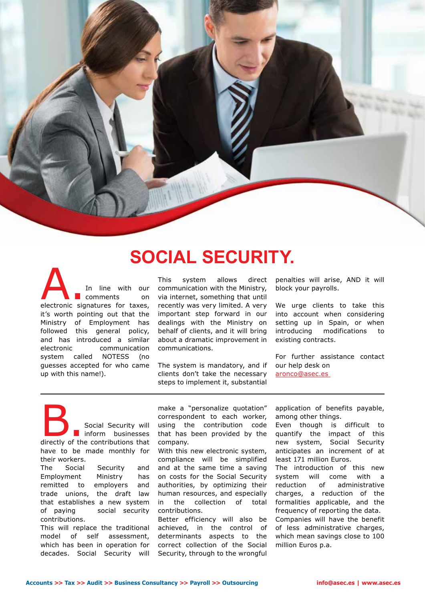

## **SOCIAL SECURITY.**

A. In line with our comments on electronic signatures for taxes, comments on it's worth pointing out that the Ministry of Employment has followed this general policy, and has introduced a similar electronic communication system called NOTESS (no guesses accepted for who came up with this name!).

This system allows direct communication with the Ministry, via internet, something that until recently was very limited. A very important step forward in our dealings with the Ministry on behalf of clients, and it will bring about a dramatic improvement in communications.

The system is mandatory, and if clients don't take the necessary steps to implement it, substantial penalties will arise, AND it will block your payrolls.

We urge clients to take this into account when considering setting up in Spain, or when introducing modifications to existing contracts.

For further assistance contact our help desk on aronco@asec.es

**B.**<br>Social Security will<br>directly of the contributions that inform businesses have to be made monthly for their workers.

The Social Security and Employment Ministry has remitted to employers and trade unions, the draft law that establishes a new system of paying social security contributions.

This will replace the traditional model of self assessment, which has been in operation for decades. Social Security will

make a "personalize quotation" correspondent to each worker, using the contribution code that has been provided by the company.

With this new electronic system, compliance will be simplified and at the same time a saving on costs for the Social Security authorities, by optimizing their human resources, and especially in the collection of total contributions.

Better efficiency will also be achieved, in the control of determinants aspects to the correct collection of the Social Security, through to the wrongful application of benefits payable, among other things.

Even though is difficult to quantify the impact of this new system, Social Security anticipates an increment of at least 171 million Euros.

The introduction of this new system will come with a reduction of administrative charges, a reduction of the formalities applicable, and the frequency of reporting the data. Companies will have the benefit of less administrative charges, which mean savings close to 100 million Euros p.a.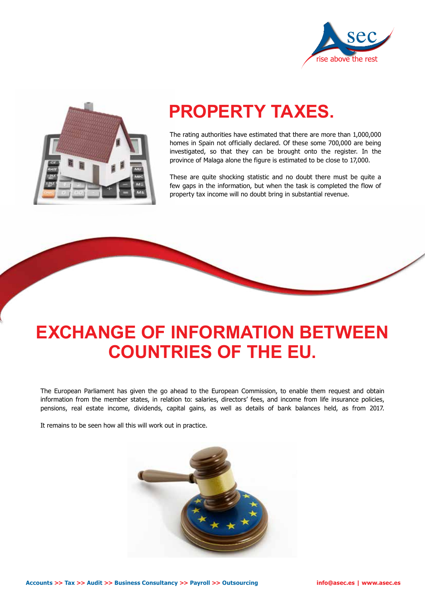



#### **www.asec.es PROPERTY TAXES.**

The rating authorities have estimated that there are more than 1,000,000 homes in Spain not officially declared. Of these some 700,000 are being investigated, so that they can be brought onto the register. In the province of Malaga alone the figure is estimated to be close to 17,000.

These are quite shocking statistic and no doubt there must be quite a few gaps in the information, but when the task is completed the flow of property tax income will no doubt bring in substantial revenue.

# **EXCHANGE OF INFORMATION BETWEEN COUNTRIES OF THE EU.**

The European Parliament has given the go ahead to the European Commission, to enable them request and obtain information from the member states, in relation to: salaries, directors' fees, and income from life insurance policies, pensions, real estate income, dividends, capital gains, as well as details of bank balances held, as from 2017.

It remains to be seen how all this will work out in practice.

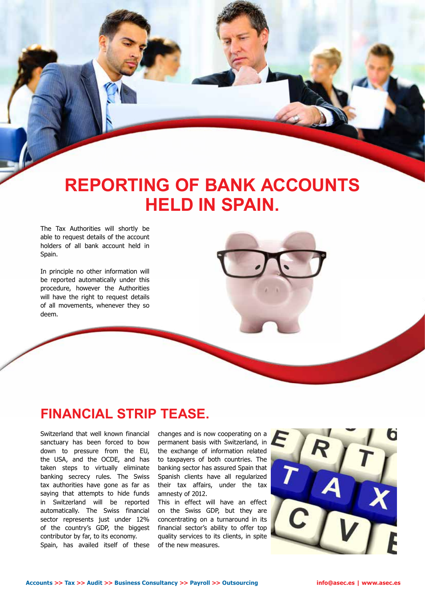# **REPORTING OF BANK ACCOUNTS HELD IN SPAIN.**

<u>as a 2015 page 4 page 4 page 4 page 4 page 4 page 4 page 4 page 4 page 4 page 4 page 4 page 4 page 4 page 4 page 4 page 4 page 4 page 4 page 4 page 4 page 4 page 4 page 4 page 4 page 4 page 4 page 4 page 4 page 4 page 4 p</u>

The Tax Authorities will shortly be able to request details of the account holders of all bank account held in Spain.

In principle no other information will be reported automatically under this procedure, however the Authorities will have the right to request details of all movements, whenever they so deem.

#### **FINANCIAL STRIP TEASE.**

Switzerland that well known financial sanctuary has been forced to bow down to pressure from the EU, the USA, and the OCDE, and has taken steps to virtually eliminate banking secrecy rules. The Swiss tax authorities have gone as far as saying that attempts to hide funds in Switzerland will be reported automatically. The Swiss financial sector represents just under 12% of the country's GDP, the biggest contributor by far, to its economy. Spain, has availed itself of these

changes and is now cooperating on a permanent basis with Switzerland, in the exchange of information related to taxpayers of both countries. The banking sector has assured Spain that Spanish clients have all regularized their tax affairs, under the tax amnesty of 2012.

This in effect will have an effect on the Swiss GDP, but they are concentrating on a turnaround in its financial sector's ability to offer top quality services to its clients, in spite of the new measures.

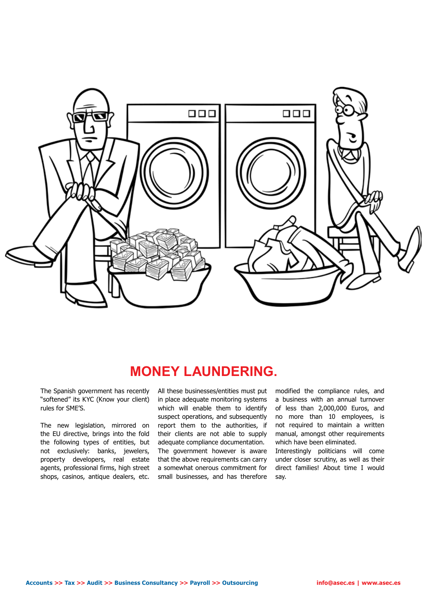

## **MONEY LAUNDERING.**

The Spanish government has recently "softened" its KYC (Know your client) rules for SME'S.

The new legislation, mirrored on the EU directive, brings into the fold the following types of entities, but not exclusively: banks, jewelers, property developers, real estate agents, professional firms, high street shops, casinos, antique dealers, etc.

All these businesses/entities must put in place adequate monitoring systems which will enable them to identify suspect operations, and subsequently report them to the authorities, if their clients are not able to supply adequate compliance documentation. The government however is aware that the above requirements can carry a somewhat onerous commitment for small businesses, and has therefore modified the compliance rules, and a business with an annual turnover of less than 2,000,000 Euros, and no more than 10 employees, is not required to maintain a written manual, amongst other requirements which have been eliminated.

Interestingly politicians will come under closer scrutiny, as well as their direct families! About time I would say.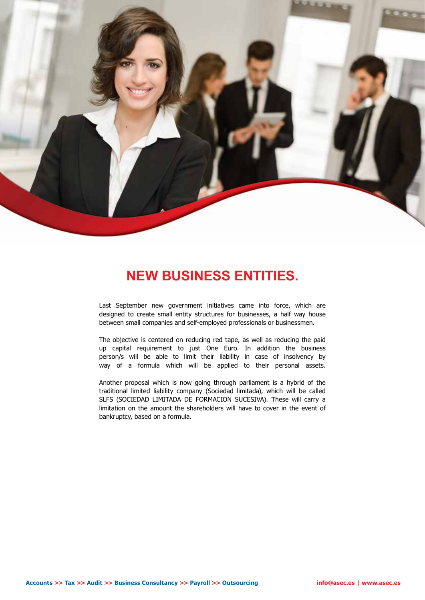

### **NEW BUSINESS ENTITIES.**

Last September new government initiatives came into force, which are designed to create small entity structures for businesses, a half way house between small companies and self-employed professionals or businessmen.

The objective is centered on reducing red tape, as well as reducing the paid up capital requirement to just One Euro. In addition the business person/s will be able to limit their liability in case of insolvency by way of a formula which will be applied to their personal assets.

Another proposal which is now going through parliament is a hybrid of the traditional limited liability company (Sociedad limitada), which will be called SLFS (SOCIEDAD LIMITADA DE FORMACION SUCESIVA). These will carry a limitation on the amount the shareholders will have to cover in the event of bankruptcy, based on a formula.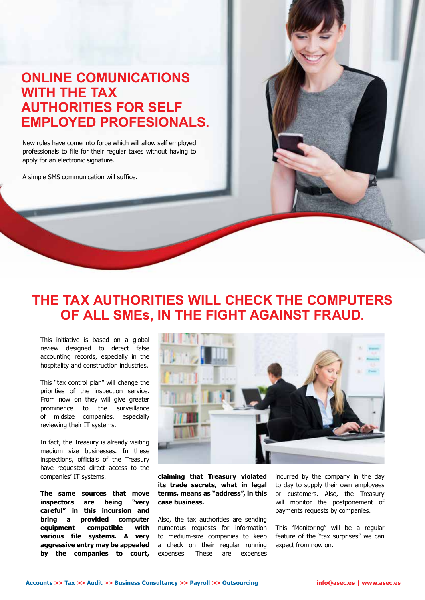### **ONLINE COMUNICATIONS WITH THE TAX AUTHORITIES FOR SELF EMPLOYED PROFESIONALS.**

New rules have come into force which will allow self employed professionals to file for their regular taxes without having to apply for an electronic signature.

A simple SMS communication will suffice.

#### **THE TAX AUTHORITIES WILL CHECK THE COMPUTERS OF ALL SMEs, IN THE FIGHT AGAINST FRAUD.**

This initiative is based on a global review designed to detect false accounting records, especially in the hospitality and construction industries.

This "tax control plan" will change the priorities of the inspection service. From now on they will give greater prominence to the surveillance of midsize companies, especially reviewing their IT systems.

In fact, the Treasury is already visiting medium size businesses. In these inspections, officials of the Treasury have requested direct access to the companies' IT systems.

**The same sources that move inspectors are being "very careful" in this incursion and bring a provided computer equipment compatible with various file systems. A very aggressive entry may be appealed by the companies to court,** 



**claiming that Treasury violated its trade secrets, what in legal terms, means as "address", in this case business.**

Also, the tax authorities are sending numerous requests for information to medium-size companies to keep a check on their regular running expenses. These are expenses

incurred by the company in the day to day to supply their own employees or customers. Also, the Treasury will monitor the postponement of payments requests by companies.

This "Monitoring" will be a regular feature of the "tax surprises" we can expect from now on.